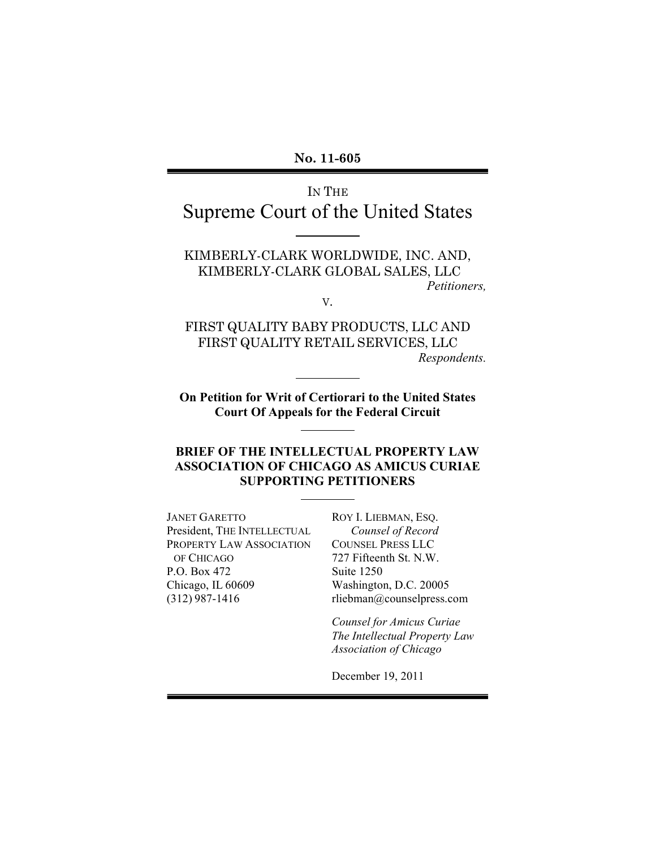No. 11-605

IN THE Supreme Court of the United States

KIMBERLY-CLARK WORLDWIDE, INC. AND, KIMBERLY-CLARK GLOBAL SALES, LLC Petitioners,

V.

FIRST QUALITY BABY PRODUCTS, LLC AND FIRST QUALITY RETAIL SERVICES, LLC Respondents.

On Petition for Writ of Certiorari to the United States **Court Of Appeals for the Federal Circuit** 

#### **BRIEF OF THE INTELLECTUAL PROPERTY LAW ASSOCIATION OF CHICAGO AS AMICUS CURIAE SUPPORTING PETITIONERS**

**JANET GARETTO** President, THE INTELLECTUAL PROPERTY LAW ASSOCIATION OF CHICAGO P.O. Box 472 Chicago, IL 60609  $(312)$  987-1416

ROY I. LIEBMAN, ESQ. Counsel of Record **COUNSEL PRESS LLC** 727 Fifteenth St. N.W. Suite 1250 Washington, D.C. 20005 rliebman@counselpress.com

Counsel for Amicus Curiae The Intellectual Property Law **Association of Chicago** 

December 19, 2011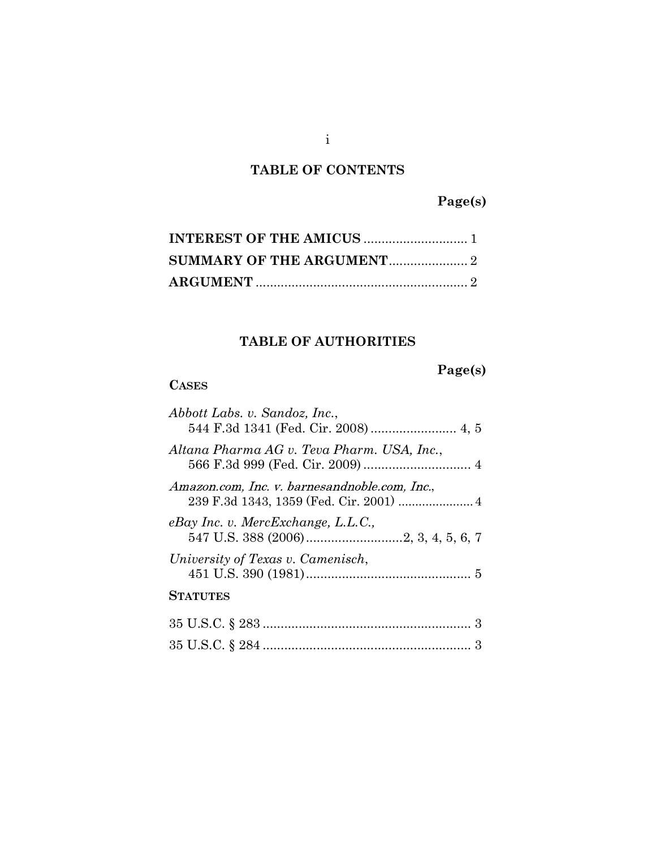# **TABLE OF CONTENTS**

Page(s)

### **TABLE OF AUTHORITIES**

### Page(s)

### **CASES**

| Abbott Labs. v. Sandoz, Inc.,                 |  |
|-----------------------------------------------|--|
| Altana Pharma AG v. Teva Pharm. USA, Inc.,    |  |
| Amazon.com, Inc. v. barnesandnoble.com, Inc., |  |
| $e$ Bay Inc. v. MercExchange, L.L.C.,         |  |
| University of Texas v. Camenisch,             |  |
| <b>STATUTES</b>                               |  |
|                                               |  |
|                                               |  |

 $\mathbf{i}$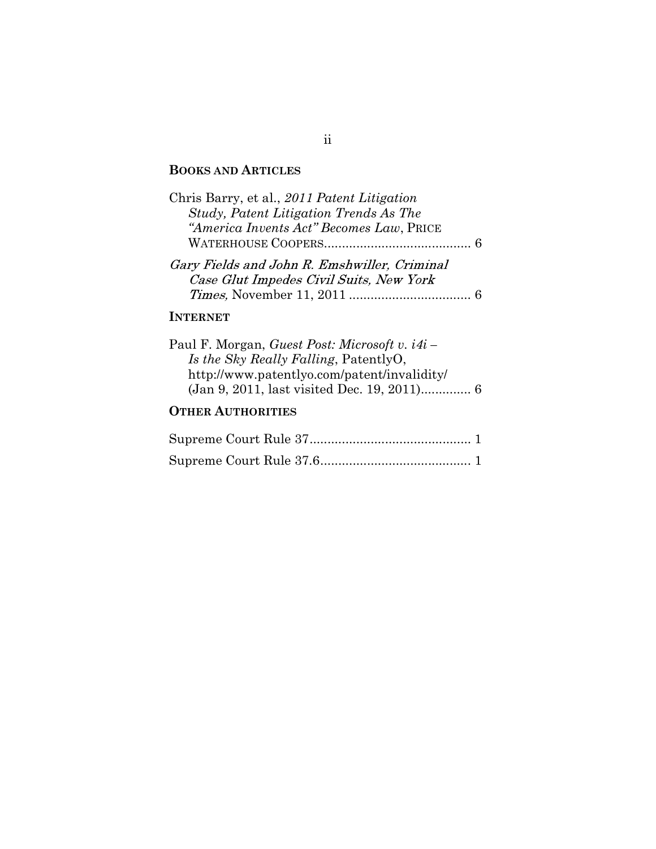### **BOOKS AND ARTICLES**

| Chris Barry, et al., 2011 Patent Litigation  |  |
|----------------------------------------------|--|
| Study, Patent Litigation Trends As The       |  |
| "America Invents Act" Becomes Law, PRICE     |  |
|                                              |  |
| Gary Fields and John R. Emshwiller, Criminal |  |
| Case Glut Impedes Civil Suits, New York      |  |
|                                              |  |
|                                              |  |

#### **INTERNET**

| Paul F. Morgan, <i>Guest Post: Microsoft v. i4i</i> – |  |
|-------------------------------------------------------|--|
| Is the Sky Really Falling, PatentlyO,                 |  |
| http://www.patentlyo.com/patent/invalidity/           |  |
|                                                       |  |

## **OTHER AUTHORITIES**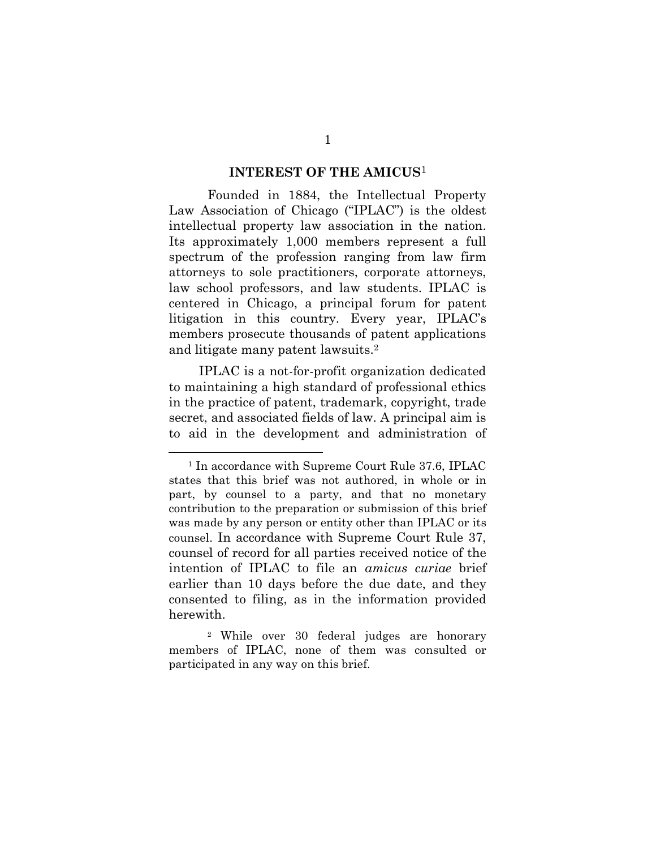#### **INTEREST OF THE AMICUS1**

Founded in 1884, the Intellectual Property Law Association of Chicago ("IPLAC") is the oldest intellectual property law association in the nation. Its approximately 1,000 members represent a full spectrum of the profession ranging from law firm attorneys to sole practitioners, corporate attorneys, law school professors, and law students. IPLAC is centered in Chicago, a principal forum for patent litigation in this country. Every year, IPLAC's members prosecute thousands of patent applications and litigate many patent lawsuits.<sup>2</sup>

IPLAC is a not-for-profit organization dedicated to maintaining a high standard of professional ethics in the practice of patent, trademark, copyright, trade secret, and associated fields of law. A principal aim is to aid in the development and administration of

<sup>&</sup>lt;sup>1</sup> In accordance with Supreme Court Rule 37.6, IPLAC states that this brief was not authored, in whole or in part, by counsel to a party, and that no monetary contribution to the preparation or submission of this brief was made by any person or entity other than IPLAC or its counsel. In accordance with Supreme Court Rule 37, counsel of record for all parties received notice of the intention of IPLAC to file an *amicus curiae* brief earlier than 10 days before the due date, and they consented to filing, as in the information provided herewith.

<sup>&</sup>lt;sup>2</sup> While over 30 federal judges are honorary members of IPLAC, none of them was consulted or participated in any way on this brief.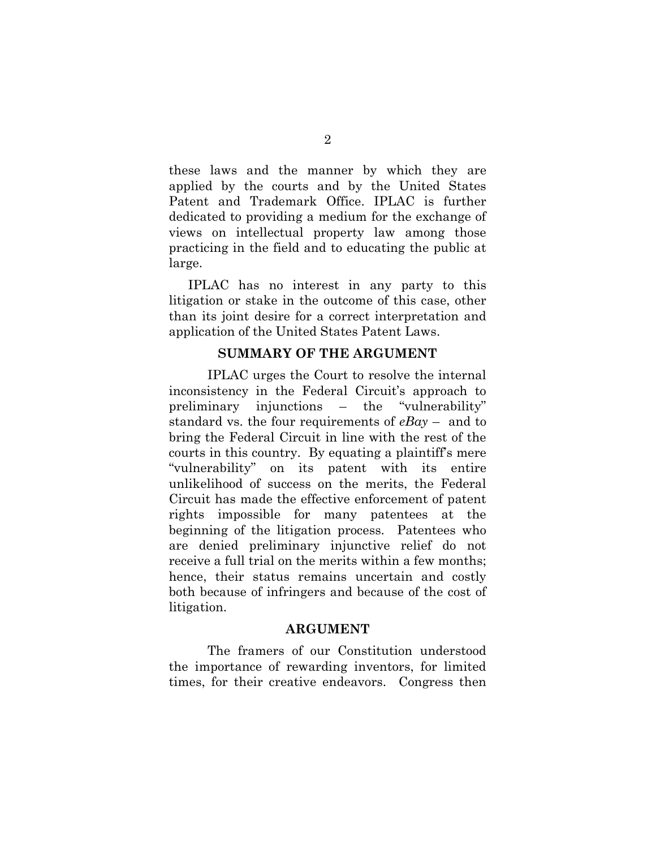these laws and the manner by which they are applied by the courts and by the United States Patent and Trademark Office. IPLAC is further dedicated to providing a medium for the exchange of views on intellectual property law among those practicing in the field and to educating the public at large.

IPLAC has no interest in any party to this litigation or stake in the outcome of this case, other than its joint desire for a correct interpretation and application of the United States Patent Laws.

### SUMMARY OF THE ARGUMENT

IPLAC urges the Court to resolve the internal inconsistency in the Federal Circuit's approach to preliminary injunctions - the "vulnerability" standard vs. the four requirements of  $e$ *Bay* – and to bring the Federal Circuit in line with the rest of the courts in this country. By equating a plaintiff's mere "vulnerability" on its patent with its entire unlikelihood of success on the merits, the Federal Circuit has made the effective enforcement of patent rights impossible for many patentees at the beginning of the litigation process. Patentees who are denied preliminary injunctive relief do not receive a full trial on the merits within a few months; hence, their status remains uncertain and costly both because of infringers and because of the cost of litigation.

#### **ARGUMENT**

The framers of our Constitution understood the importance of rewarding inventors, for limited times, for their creative endeavors. Congress then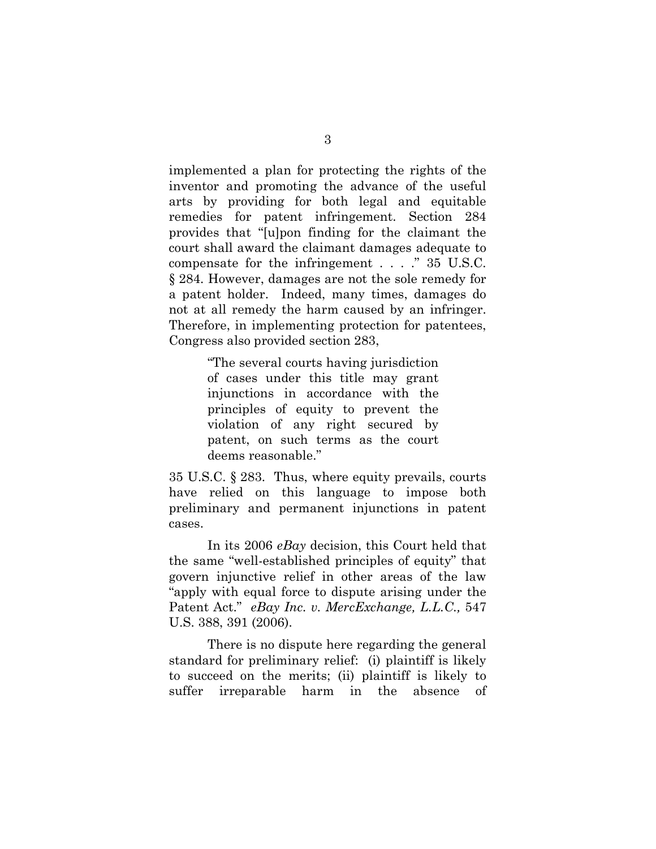implemented a plan for protecting the rights of the inventor and promoting the advance of the useful arts by providing for both legal and equitable remedies for patent infringement. Section 284 provides that "[u]pon finding for the claimant the court shall award the claimant damages adequate to compensate for the infringement  $\ldots$   $\overset{?}{.}$  35 U.S.C. § 284. However, damages are not the sole remedy for a patent holder. Indeed, many times, damages do not at all remedy the harm caused by an infringer. Therefore, in implementing protection for patentees, Congress also provided section 283,

> "The several courts having jurisdiction" of cases under this title may grant injunctions in accordance with the principles of equity to prevent the violation of any right secured by patent, on such terms as the court deems reasonable."

35 U.S.C. § 283. Thus, where equity prevails, courts have relied on this language to impose both preliminary and permanent injunctions in patent cases.

In its 2006 *eBay* decision, this Court held that the same "well-established principles of equity" that govern injunctive relief in other areas of the law "apply with equal force to dispute arising under the Patent Act." eBay Inc. v. MercExchange, L.L.C., 547 U.S. 388, 391 (2006).

There is no dispute here regarding the general standard for preliminary relief: (i) plaintiff is likely to succeed on the merits; (ii) plaintiff is likely to suffer irreparable harm in the absence of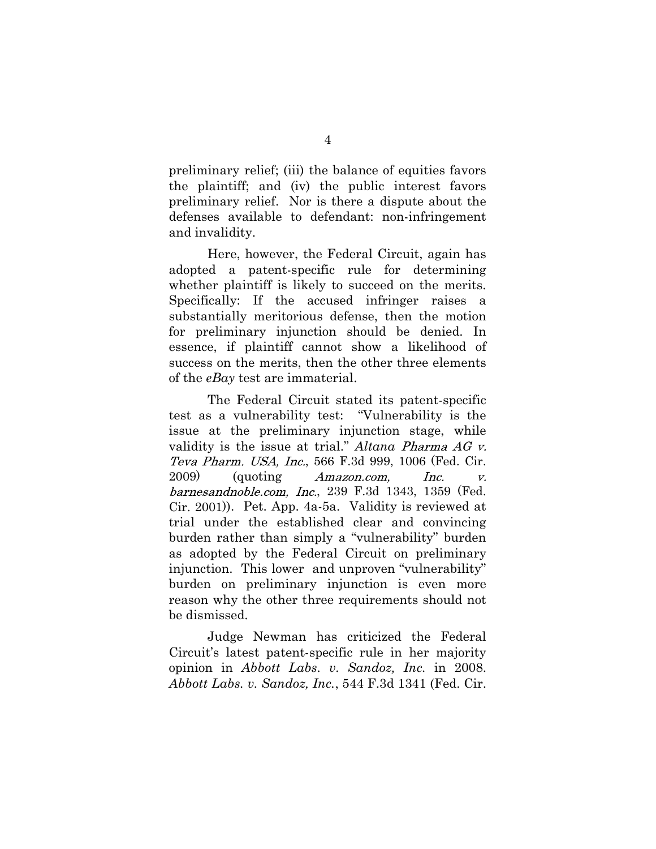preliminary relief; (iii) the balance of equities favors the plaintiff; and (iv) the public interest favors preliminary relief. Nor is there a dispute about the defenses available to defendant: non-infringement and invalidity.

Here, however, the Federal Circuit, again has adopted a patent-specific rule for determining whether plaintiff is likely to succeed on the merits. Specifically: If the accused infringer raises a substantially meritorious defense, then the motion for preliminary injunction should be denied. In essence, if plaintiff cannot show a likelihood of success on the merits, then the other three elements of the *eBay* test are immaterial.

The Federal Circuit stated its patent-specific test as a vulnerability test: "Vulnerability is the issue at the preliminary injunction stage, while validity is the issue at trial." Altana Pharma AG v. Teva Pharm. USA, Inc., 566 F.3d 999, 1006 (Fed. Cir. 2009) (quoting) Amazon.com, Inc.  $\overline{V}$ . barnesandnoble.com, Inc., 239 F.3d 1343, 1359 (Fed. Cir. 2001). Pet. App. 4a-5a. Validity is reviewed at trial under the established clear and convincing burden rather than simply a "vulnerability" burden as adopted by the Federal Circuit on preliminary injunction. This lower and unproven "vulnerability" burden on preliminary injunction is even more reason why the other three requirements should not be dismissed.

Judge Newman has criticized the Federal Circuit's latest patent-specific rule in her majority opinion in *Abbott Labs. v. Sandoz*, *Inc.* in 2008. Abbott Labs. v. Sandoz, Inc., 544 F.3d 1341 (Fed. Cir.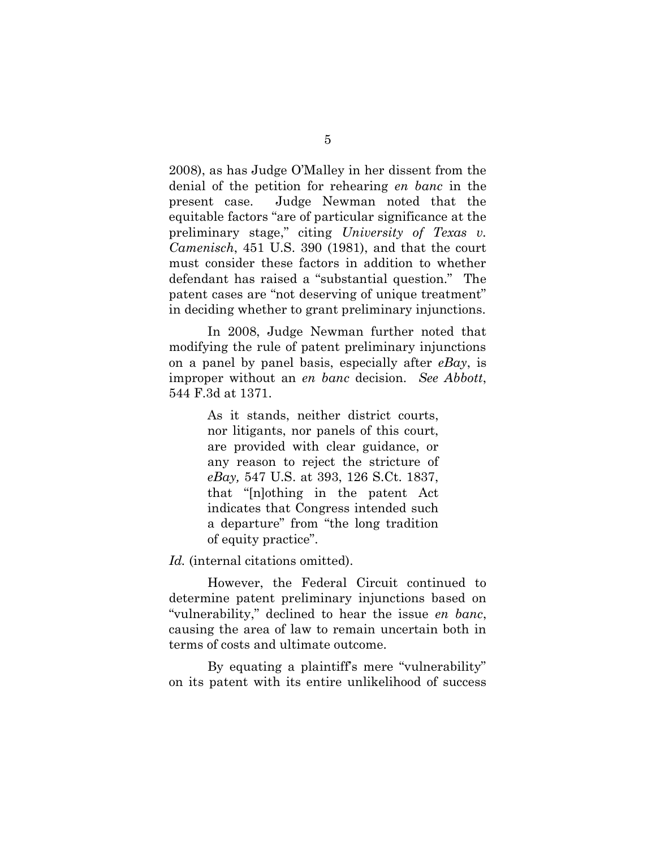2008), as has Judge O'Malley in her dissent from the denial of the petition for rehearing *en* banc in the Judge Newman noted that the present case. equitable factors "are of particular significance at the preliminary stage," citing University of Texas v. Camenisch, 451 U.S. 390 (1981), and that the court must consider these factors in addition to whether defendant has raised a "substantial question." The patent cases are "not deserving of unique treatment" in deciding whether to grant preliminary injunctions.

In 2008, Judge Newman further noted that modifying the rule of patent preliminary injunctions on a panel by panel basis, especially after  $e$ *Bay*, is improper without an en banc decision. See Abbott, 544 F.3d at 1371.

> As it stands, neither district courts, nor litigants, nor panels of this court, are provided with clear guidance, or any reason to reject the stricture of eBay, 547 U.S. at 393, 126 S.Ct. 1837, that "[n]othing in the patent Act indicates that Congress intended such a departure" from "the long tradition" of equity practice".

*Id.* (internal citations omitted).

However, the Federal Circuit continued to determine patent preliminary injunctions based on "vulnerability," declined to hear the issue en banc, causing the area of law to remain uncertain both in terms of costs and ultimate outcome.

By equating a plaintiff's mere "vulnerability" on its patent with its entire unlikelihood of success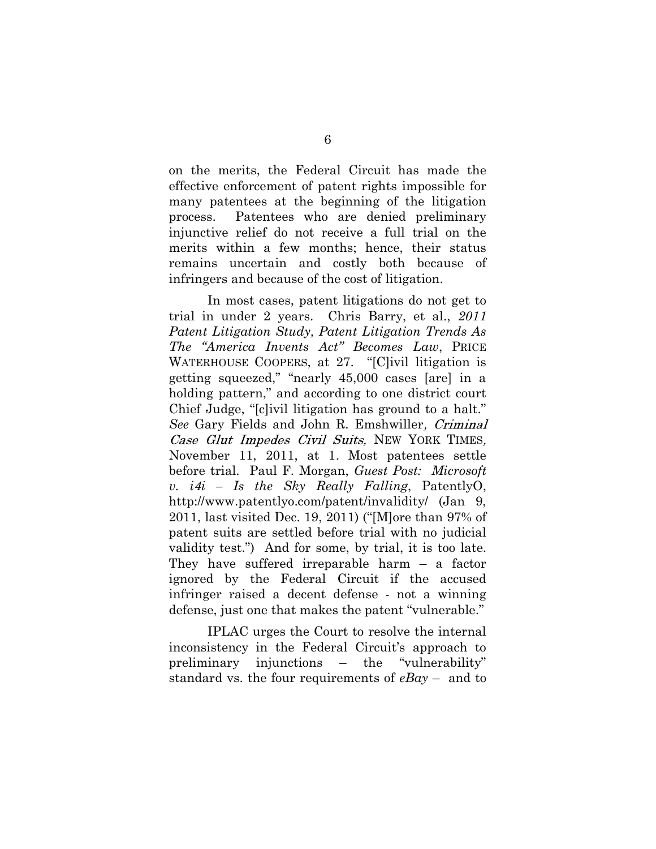on the merits, the Federal Circuit has made the effective enforcement of patent rights impossible for many patentees at the beginning of the litigation process. Patentees who are denied preliminary injunctive relief do not receive a full trial on the merits within a few months; hence, their status remains uncertain and costly both because of infringers and because of the cost of litigation.

In most cases, patent litigations do not get to trial in under 2 years. Chris Barry, et al., 2011 Patent Litigation Study, Patent Litigation Trends As The "America Invents Act" Becomes Law, PRICE WATERHOUSE COOPERS, at 27. "[C]ivil litigation is getting squeezed," "nearly 45,000 cases [are] in a holding pattern," and according to one district court Chief Judge, "[c] ivil litigation has ground to a halt." See Gary Fields and John R. Emshwiller, Criminal Case Glut Impedes Civil Suits, NEW YORK TIMES, November 11, 2011, at 1. Most patentees settle before trial. Paul F. Morgan, Guest Post: Microsoft v.  $i4i$  – Is the Sky Really Falling, PatentlyO, http://www.patentlyo.com/patent/invalidity/ (Jan 9, 2011, last visited Dec. 19, 2011) ("[M] ore than 97% of patent suits are settled before trial with no judicial validity test.") And for some, by trial, it is too late. They have suffered irreparable harm  $-$  a factor ignored by the Federal Circuit if the accused infringer raised a decent defense - not a winning defense, just one that makes the patent "vulnerable."

IPLAC urges the Court to resolve the internal inconsistency in the Federal Circuit's approach to preliminary injunctions – the "vulnerability" standard vs. the four requirements of  $e$ *Bay* – and to